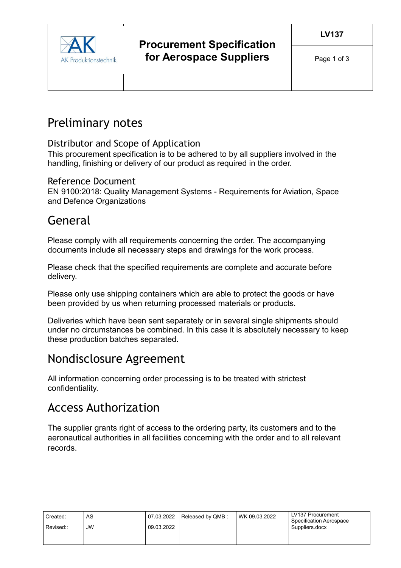

# Preliminary notes

#### Distributor and Scope of Application

This procurement specification is to be adhered to by all suppliers involved in the handling, finishing or delivery of our product as required in the order.

#### Reference Document

EN 9100:2018: Quality Management Systems - Requirements for Aviation, Space and Defence Organizations

## General

Please comply with all requirements concerning the order. The accompanying documents include all necessary steps and drawings for the work process.

Please check that the specified requirements are complete and accurate before delivery.

Please only use shipping containers which are able to protect the goods or have been provided by us when returning processed materials or products.

Deliveries which have been sent separately or in several single shipments should under no circumstances be combined. In this case it is absolutely necessary to keep these production batches separated.

## Nondisclosure Agreement

All information concerning order processing is to be treated with strictest confidentiality.

### Access Authorization

The supplier grants right of access to the ordering party, its customers and to the aeronautical authorities in all facilities concerning with the order and to all relevant records.

| Created:  | AS        | 07.03.2022 | Released by QMB: | WK 09.03.2022 | LV137 Procurement<br>Specification Aerospace<br>Suppliers.docx |
|-----------|-----------|------------|------------------|---------------|----------------------------------------------------------------|
| Revised:: | <b>JW</b> | 09.03.2022 |                  |               |                                                                |
|           |           |            |                  |               |                                                                |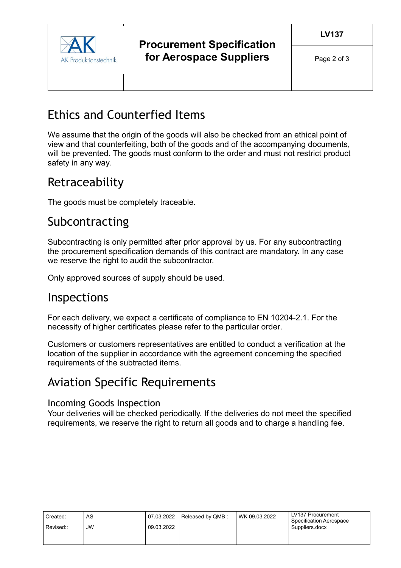

### **Procurement Specification for Aerospace Suppliers**

# Ethics and Counterfied Items

We assume that the origin of the goods will also be checked from an ethical point of view and that counterfeiting, both of the goods and of the accompanying documents, will be prevented. The goods must conform to the order and must not restrict product safety in any way.

## Retraceability

The goods must be completely traceable.

## Subcontracting

Subcontracting is only permitted after prior approval by us. For any subcontracting the procurement specification demands of this contract are mandatory. In any case we reserve the right to audit the subcontractor.

Only approved sources of supply should be used.

### Inspections

For each delivery, we expect a certificate of compliance to EN 10204-2.1. For the necessity of higher certificates please refer to the particular order.

Customers or customers representatives are entitled to conduct a verification at the location of the supplier in accordance with the agreement concerning the specified requirements of the subtracted items.

## Aviation Specific Requirements

#### Incoming Goods Inspection

Your deliveries will be checked periodically. If the deliveries do not meet the specified requirements, we reserve the right to return all goods and to charge a handling fee.

| Created:  | AS        | 07.03.2022 | Released by QMB: | WK 09.03.2022 | LV137 Procurement<br>Specification Aerospace |
|-----------|-----------|------------|------------------|---------------|----------------------------------------------|
| Revised:: | <b>JW</b> | 09.03.2022 |                  |               | Suppliers.docx                               |
|           |           |            |                  |               |                                              |